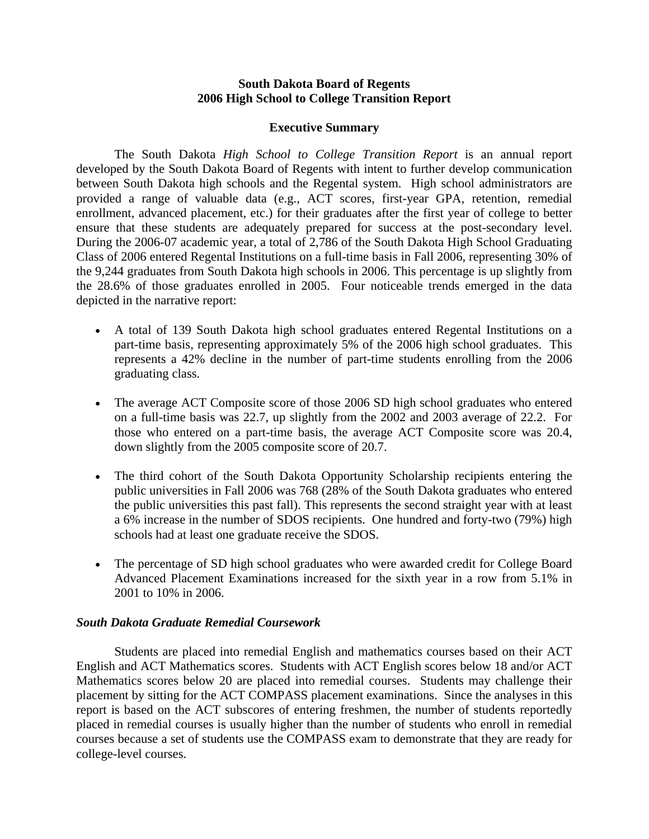## **South Dakota Board of Regents 2006 High School to College Transition Report**

## **Executive Summary**

The South Dakota *High School to College Transition Report* is an annual report developed by the South Dakota Board of Regents with intent to further develop communication between South Dakota high schools and the Regental system. High school administrators are provided a range of valuable data (e.g., ACT scores, first-year GPA, retention, remedial enrollment, advanced placement, etc.) for their graduates after the first year of college to better ensure that these students are adequately prepared for success at the post-secondary level. During the 2006-07 academic year, a total of 2,786 of the South Dakota High School Graduating Class of 2006 entered Regental Institutions on a full-time basis in Fall 2006, representing 30% of the 9,244 graduates from South Dakota high schools in 2006. This percentage is up slightly from the 28.6% of those graduates enrolled in 2005. Four noticeable trends emerged in the data depicted in the narrative report:

- A total of 139 South Dakota high school graduates entered Regental Institutions on a part-time basis, representing approximately 5% of the 2006 high school graduates. This represents a 42% decline in the number of part-time students enrolling from the 2006 graduating class.
- The average ACT Composite score of those 2006 SD high school graduates who entered on a full-time basis was 22.7, up slightly from the 2002 and 2003 average of 22.2. For those who entered on a part-time basis, the average ACT Composite score was 20.4, down slightly from the 2005 composite score of 20.7.
- The third cohort of the South Dakota Opportunity Scholarship recipients entering the public universities in Fall 2006 was 768 (28% of the South Dakota graduates who entered the public universities this past fall). This represents the second straight year with at least a 6% increase in the number of SDOS recipients. One hundred and forty-two (79%) high schools had at least one graduate receive the SDOS.
- The percentage of SD high school graduates who were awarded credit for College Board Advanced Placement Examinations increased for the sixth year in a row from 5.1% in 2001 to 10% in 2006.

## *South Dakota Graduate Remedial Coursework*

Students are placed into remedial English and mathematics courses based on their ACT English and ACT Mathematics scores. Students with ACT English scores below 18 and/or ACT Mathematics scores below 20 are placed into remedial courses. Students may challenge their placement by sitting for the ACT COMPASS placement examinations. Since the analyses in this report is based on the ACT subscores of entering freshmen, the number of students reportedly placed in remedial courses is usually higher than the number of students who enroll in remedial courses because a set of students use the COMPASS exam to demonstrate that they are ready for college-level courses.